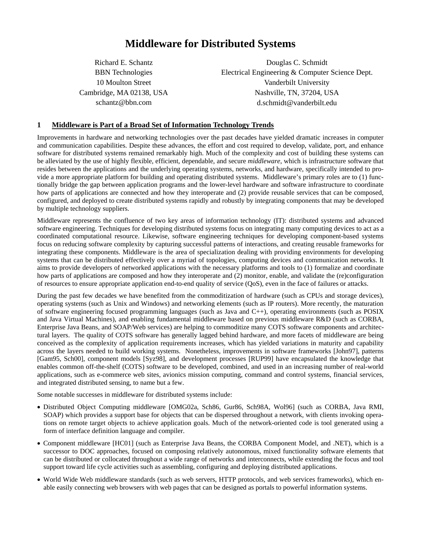# **Middleware for Distributed Systems**

Richard E. Schantz BBN Technologies 10 Moulton Street Cambridge, MA 02138, USA schantz@bbn.com

Douglas C. Schmidt Electrical Engineering & Computer Science Dept. Vanderbilt University Nashville, TN, 37204, USA d.schmidt@vanderbilt.edu

## **1 Middleware is Part of a Broad Set of Information Technology Trends**

Improvements in hardware and networking technologies over the past decades have yielded dramatic increases in computer and communication capabilities. Despite these advances, the effort and cost required to develop, validate, port, and enhance software for distributed systems remained remarkably high. Much of the complexity and cost of building these systems can be alleviated by the use of highly flexible, efficient, dependable, and secure *middleware*, which is infrastructure software that resides between the applications and the underlying operating systems, networks, and hardware, specifically intended to provide a more appropriate platform for building and operating distributed systems. Middleware's primary roles are to (1) functionally bridge the gap between application programs and the lower-level hardware and software infrastructure to coordinate how parts of applications are connected and how they interoperate and (2) provide reusable services that can be composed, configured, and deployed to create distributed systems rapidly and robustly by integrating components that may be developed by multiple technology suppliers.

Middleware represents the confluence of two key areas of information technology (IT): distributed systems and advanced software engineering. Techniques for developing distributed systems focus on integrating many computing devices to act as a coordinated computational resource. Likewise, software engineering techniques for developing component-based systems focus on reducing software complexity by capturing successful patterns of interactions, and creating reusable frameworks for integrating these components. Middleware is the area of specialization dealing with providing environments for developing systems that can be distributed effectively over a myriad of topologies, computing devices and communication networks. It aims to provide developers of networked applications with the necessary platforms and tools to (1) formalize and coordinate how parts of applications are composed and how they interoperate and (2) monitor, enable, and validate the (re)configuration of resources to ensure appropriate application end-to-end quality of service (QoS), even in the face of failures or attacks.

During the past few decades we have benefited from the commoditization of hardware (such as CPUs and storage devices), operating systems (such as Unix and Windows) and networking elements (such as IP routers). More recently, the maturation of software engineering focused programming languages (such as Java and C++), operating environments (such as POSIX and Java Virtual Machines), and enabling fundamental middleware based on previous middleware R&D (such as CORBA, Enterprise Java Beans, and SOAP/Web services) are helping to commoditize many COTS software components and architectural layers. The quality of COTS software has generally lagged behind hardware, and more facets of middleware are being conceived as the complexity of application requirements increases, which has yielded variations in maturity and capability across the layers needed to build working systems. Nonetheless, improvements in software frameworks [John97], patterns [Gam95, Sch00], component models [Syz98], and development processes [RUP99] have encapsulated the knowledge that enables common off-the-shelf (COTS) software to be developed, combined, and used in an increasing number of real-world applications, such as e-commerce web sites, avionics mission computing, command and control systems, financial services, and integrated distributed sensing, to name but a few.

Some notable successes in middleware for distributed systems include:

- Distributed Object Computing middleware [OMG02a, Sch86, Gur86, Sch98A, Wol96] (such as CORBA, Java RMI, SOAP) which provides a support base for objects that can be dispersed throughout a network, with clients invoking operations on remote target objects to achieve application goals. Much of the network-oriented code is tool generated using a form of interface definition language and compiler.
- Component middleware [HC01] (such as Enterprise Java Beans, the CORBA Component Model, and .NET), which is a successor to DOC approaches, focused on composing relatively autonomous, mixed functionality software elements that can be distributed or collocated throughout a wide range of networks and interconnects, while extending the focus and tool support toward life cycle activities such as assembling, configuring and deploying distributed applications.
- World Wide Web middleware standards (such as web servers, HTTP protocols, and web services frameworks), which enable easily connecting web browsers with web pages that can be designed as portals to powerful information systems.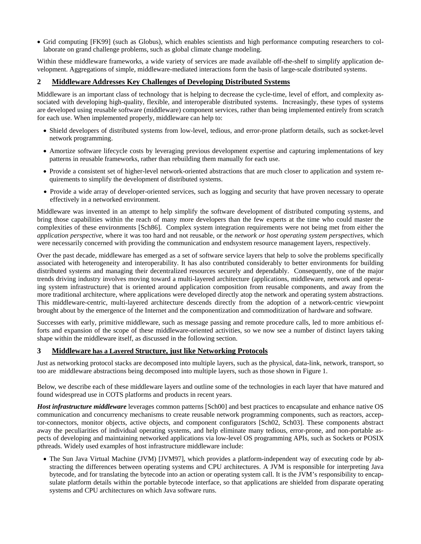• Grid computing [FK99] (such as Globus), which enables scientists and high performance computing researchers to collaborate on grand challenge problems, such as global climate change modeling.

Within these middleware frameworks, a wide variety of services are made available off-the-shelf to simplify application development. Aggregations of simple, middleware-mediated interactions form the basis of large-scale distributed systems.

## **2 Middleware Addresses Key Challenges of Developing Distributed Systems**

Middleware is an important class of technology that is helping to decrease the cycle-time, level of effort, and complexity associated with developing high-quality, flexible, and interoperable distributed systems. Increasingly, these types of systems are developed using reusable software (middleware) component services, rather than being implemented entirely from scratch for each use. When implemented properly, middleware can help to:

- Shield developers of distributed systems from low-level, tedious, and error-prone platform details, such as socket-level network programming.
- Amortize software lifecycle costs by leveraging previous development expertise and capturing implementations of key patterns in reusable frameworks, rather than rebuilding them manually for each use.
- Provide a consistent set of higher-level network-oriented abstractions that are much closer to application and system requirements to simplify the development of distributed systems.
- Provide a wide array of developer-oriented services, such as logging and security that have proven necessary to operate effectively in a networked environment.

Middleware was invented in an attempt to help simplify the software development of distributed computing systems, and bring those capabilities within the reach of many more developers than the few experts at the time who could master the complexities of these environments [Sch86]. Complex system integration requirements were not being met from either the *application perspective*, where it was too hard and not reusable, or the *network or host operating system perspectives*, which were necessarily concerned with providing the communication and endsystem resource management layers, respectively.

Over the past decade, middleware has emerged as a set of software service layers that help to solve the problems specifically associated with heterogeneity and interoperability. It has also contributed considerably to better environments for building distributed systems and managing their decentralized resources securely and dependably. Consequently, one of the major trends driving industry involves moving toward a multi-layered architecture (applications, middleware, network and operating system infrastructure) that is oriented around application composition from reusable components, and away from the more traditional architecture, where applications were developed directly atop the network and operating system abstractions. This middleware-centric, multi-layered architecture descends directly from the adoption of a network-centric viewpoint brought about by the emergence of the Internet and the componentization and commoditization of hardware and software.

Successes with early, primitive middleware, such as message passing and remote procedure calls, led to more ambitious efforts and expansion of the scope of these middleware-oriented activities, so we now see a number of distinct layers taking shape within the middleware itself, as discussed in the following section.

### **3 Middleware has a Layered Structure, just like Networking Protocols**

Just as networking protocol stacks are decomposed into multiple layers, such as the physical, data-link, network, transport, so too are middleware abstractions being decomposed into multiple layers, such as those shown in Figure 1.

Below, we describe each of these middleware layers and outline some of the technologies in each layer that have matured and found widespread use in COTS platforms and products in recent years.

*Host infrastructure middleware* leverages common patterns [Sch00] and best practices to encapsulate and enhance native OS communication and concurrency mechanisms to create reusable network programming components, such as reactors, acceptor-connectors, monitor objects, active objects, and component configurators [Sch02, Sch03]. These components abstract away the peculiarities of individual operating systems, and help eliminate many tedious, error-prone, and non-portable aspects of developing and maintaining networked applications via low-level OS programming APIs, such as Sockets or POSIX pthreads. Widely used examples of host infrastructure middleware include:

• The Sun Java Virtual Machine (JVM) [JVM97], which provides a platform-independent way of executing code by abstracting the differences between operating systems and CPU architectures. A JVM is responsible for interpreting Java bytecode, and for translating the bytecode into an action or operating system call. It is the JVM's responsibility to encapsulate platform details within the portable bytecode interface, so that applications are shielded from disparate operating systems and CPU architectures on which Java software runs.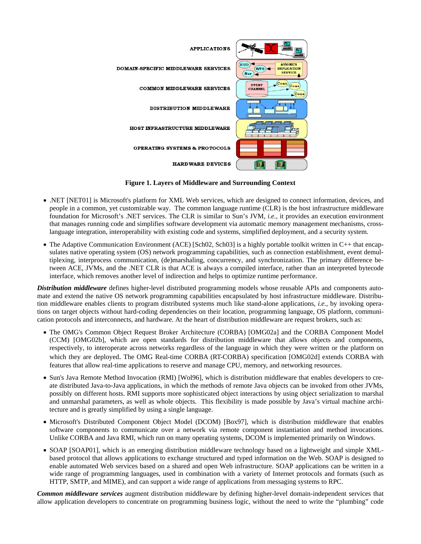

**Figure 1. Layers of Middleware and Surrounding Context**

- .NET [NET01] is Microsoft's platform for XML Web services, which are designed to connect information, devices, and people in a common, yet customizable way. The common language runtime (CLR) is the host infrastructure middleware foundation for Microsoft's .NET services. The CLR is similar to Sun's JVM, *i.e.,* it provides an execution environment that manages running code and simplifies software development via automatic memory management mechanisms, crosslanguage integration, interoperability with existing code and systems, simplified deployment, and a security system.
- The Adaptive Communication Environment (ACE) [Sch02, Sch03] is a highly portable toolkit written in C++ that encapsulates native operating system (OS) network programming capabilities, such as connection establishment, event demultiplexing, interprocess communication, (de)marshaling, concurrency, and synchronization. The primary difference between ACE, JVMs, and the .NET CLR is that ACE is always a compiled interface, rather than an interpreted bytecode interface, which removes another level of indirection and helps to optimize runtime performance.

*Distribution middleware* defines higher-level distributed programming models whose reusable APIs and components automate and extend the native OS network programming capabilities encapsulated by host infrastructure middleware. Distribution middleware enables clients to program distributed systems much like stand-alone applications, *i.e.*, by invoking operations on target objects without hard-coding dependencies on their location, programming language, OS platform, communication protocols and interconnects, and hardware. At the heart of distribution middleware are request brokers, such as:

- The OMG's Common Object Request Broker Architecture (CORBA) [OMG02a] and the CORBA Component Model (CCM) [OMG02b], which are open standards for distribution middleware that allows objects and components, respectively, to interoperate across networks regardless of the language in which they were written or the platform on which they are deployed. The OMG Real-time CORBA (RT-CORBA) specification [OMG02d] extends CORBA with features that allow real-time applications to reserve and manage CPU, memory, and networking resources.
- Sun's Java Remote Method Invocation (RMI) [Wol96], which is distribution middleware that enables developers to create distributed Java-to-Java applications, in which the methods of remote Java objects can be invoked from other JVMs, possibly on different hosts. RMI supports more sophisticated object interactions by using object serialization to marshal and unmarshal parameters, as well as whole objects. This flexibility is made possible by Java's virtual machine architecture and is greatly simplified by using a single language.
- Microsoft's Distributed Component Object Model (DCOM) [Box97], which is distribution middleware that enables software components to communicate over a network via remote component instantiation and method invocations. Unlike CORBA and Java RMI, which run on many operating systems, DCOM is implemented primarily on Windows.
- SOAP [SOAP01], which is an emerging distribution middleware technology based on a lightweight and simple XMLbased protocol that allows applications to exchange structured and typed information on the Web. SOAP is designed to enable automated Web services based on a shared and open Web infrastructure. SOAP applications can be written in a wide range of programming languages, used in combination with a variety of Internet protocols and formats (such as HTTP, SMTP, and MIME), and can support a wide range of applications from messaging systems to RPC.

*Common middleware services* augment distribution middleware by defining higher-level domain-independent services that allow application developers to concentrate on programming business logic, without the need to write the "plumbing" code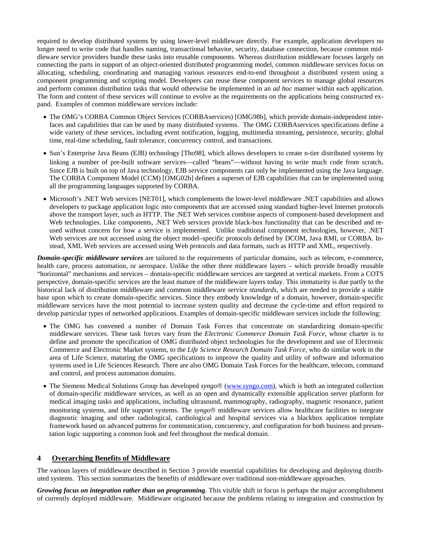required to develop distributed systems by using lower-level middleware directly. For example, application developers no longer need to write code that handles naming, transactional behavior, security, database connection, because common middleware service providers bundle these tasks into reusable components. Whereas distribution middleware focuses largely on connecting the parts in support of an object-oriented distributed programming model, common middleware services focus on allocating, scheduling, coordinating and managing various resources end-to-end throughout a distributed system using a component programming and scripting model. Developers can reuse these component services to manage global resources and perform common distribution tasks that would otherwise be implemented in an *ad hoc* manner within each application. The form and content of these services will continue to evolve as the requirements on the applications being constructed expand. Examples of common middleware services include:

- The OMG's CORBA Common Object Services (CORBAservices) [OMG98b], which provide domain-independent interfaces and capabilities that can be used by many distributed systems. The OMG CORBAservices specifications define a wide variety of these services, including event notification, logging, multimedia streaming, persistence, security, global time, real-time scheduling, fault tolerance, concurrency control, and transactions.
- Sun's Enterprise Java Beans (EJB) technology [Tho98], which allows developers to create n-tier distributed systems by linking a number of pre-built software services—called "beans"—without having to write much code from scratch.<br>Since EJB is built on top of Java technology, EJB service components can only be implemented using the Java lan The CORBA Component Model (CCM) [OMG02b] defines a superset of EJB capabilities that can be implemented using all the programming languages supported by CORBA.
- Microsoft's .NET Web services [NET01], which complements the lower-level middleware .NET capabilities and allows developers to package application logic into components that are accessed using standard higher-level Internet protocols above the transport layer, such as HTTP. The .NET Web services combine aspects of component-based development and Web technologies. Like components, .NET Web services provide black-box functionality that can be described and reused without concern for how a service is implemented. Unlike traditional component technologies, however, .NET Web services are not accessed using the object model–specific protocols defined by DCOM, Java RMI, or CORBA. Instead, XML Web services are accessed using Web protocols and data formats, such as HTTP and XML, respectively.

*Domain-specific middleware services* are tailored to the requirements of particular domains, such as telecom, e-commerce, health care, process automation, or aerospace. Unlike the other three middleware layers – which provide broadly reusable "horizontal" mechanisms and services – domain-specific middleware services are targeted at vertical markets. From a COTS perspective, domain-specific services are the least mature of the middleware layers today. This immaturity is due partly to the historical lack of distribution middleware and common middleware service *standards*, which are needed to provide a stable base upon which to create domain-specific services. Since they embody knowledge of a domain, however, domain-specific middleware services have the most potential to increase system quality and decrease the cycle-time and effort required to develop particular types of networked applications. Examples of domain-specific middleware services include the following:

- The OMG has convened a number of Domain Task Forces that concentrate on standardizing domain-specific middleware services. These task forces vary from the *Electronic Commerce Domain Task Force*, whose charter is to define and promote the specification of OMG distributed object technologies for the development and use of Electronic Commerce and Electronic Market systems, to the *Life Science Research Domain Task Force,* who do similar work in the area of Life Science, maturing the OMG specifications to improve the quality and utility of software and information systems used in Life Sciences Research. There are also OMG Domain Task Forces for the healthcare, telecom, command and control, and process automation domains.
- The Siemens Medical Solutions Group has developed *syngo*® ([www.syngo.com\)](http://www.syngo.com/), which is both an integrated collection of domain-specific middleware services, as well as an open and dynamically extensible application server platform for medical imaging tasks and applications, including ultrasound, mammography, radiography, magnetic resonance, patient monitoring systems, and life support systems. The *syngo*® middleware services allow healthcare facilities to integrate diagnostic imaging and other radiological, cardiological and hospital services via a blackbox application template framework based on advanced patterns for communication, concurrency, and configuration for both business and presentation logic supporting a common look and feel throughout the medical domain.

#### **4 Overarching Benefits of Middleware**

The various layers of middleware described in Section 3 provide essential capabilities for developing and deploying distributed systems. This section summarizes the benefits of middleware over traditional non-middleware approaches.

*Growing focus on integration rather than on programming*. This visible shift in focus is perhaps the major accomplishment of currently deployed middleware. Middleware originated because the problems relating to integration and construction by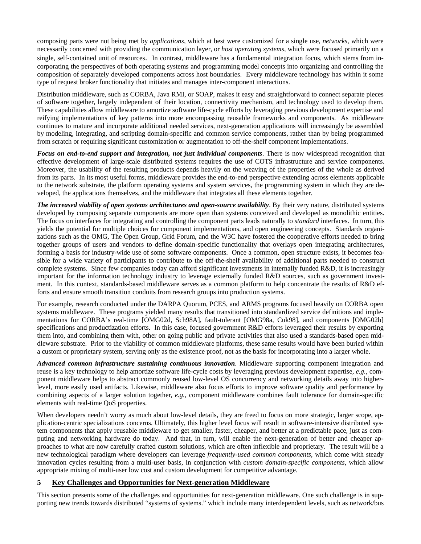composing parts were not being met by *applications*, which at best were customized for a single use, *networks*, which were necessarily concerned with providing the communication layer, or *host operating systems*, which were focused primarily on a single, self-contained unit of resources. In contrast, middleware has a fundamental integration focus, which stems from incorporating the perspectives of both operating systems and programming model concepts into organizing and controlling the composition of separately developed components across host boundaries. Every middleware technology has within it some type of request broker functionality that initiates and manages inter-component interactions.

Distribution middleware, such as CORBA, Java RMI, or SOAP, makes it easy and straightforward to connect separate pieces of software together, largely independent of their location, connectivity mechanism, and technology used to develop them. These capabilities allow middleware to amortize software life-cycle efforts by leveraging previous development expertise and reifying implementations of key patterns into more encompassing reusable frameworks and components. As middleware continues to mature and incorporate additional needed services, next-generation applications will increasingly be assembled by modeling, integrating, and scripting domain-specific and common service components, rather than by being programmed from scratch or requiring significant customization or augmentation to off-the-shelf component implementations.

*Focus on end-to-end support and integration, not just individual components*. There is now widespread recognition that effective development of large-scale distributed systems requires the use of COTS infrastructure and service components. Moreover, the usability of the resulting products depends heavily on the weaving of the properties of the whole as derived from its parts. In its most useful forms, middleware provides the end-to-end perspective extending across elements applicable to the network substrate, the platform operating systems and system services, the programming system in which they are developed, the applications themselves, and the middleware that integrates all these elements together.

*The increased viability of open systems architectures and open-source availability*. By their very nature, distributed systems developed by composing separate components are more open than systems conceived and developed as monolithic entities. The focus on interfaces for integrating and controlling the component parts leads naturally to *standard* interfaces. In turn, this yields the potential for multiple choices for component implementations, and open engineering concepts. Standards organizations such as the OMG, The Open Group, Grid Forum, and the W3C have fostered the cooperative efforts needed to bring together groups of users and vendors to define domain-specific functionality that overlays open integrating architectures, forming a basis for industry-wide use of some software components. Once a common, open structure exists, it becomes feasible for a wide variety of participants to contribute to the off-the-shelf availability of additional parts needed to construct complete systems. Since few companies today can afford significant investments in internally funded R&D, it is increasingly important for the information technology industry to leverage externally funded R&D sources, such as government investment. In this context, standards-based middleware serves as a common platform to help concentrate the results of R&D efforts and ensure smooth transition conduits from research groups into production systems.

For example, research conducted under the DARPA Quorum, PCES, and ARMS programs focused heavily on CORBA open systems middleware. These programs yielded many results that transitioned into standardized service definitions and implementations for CORBA's real-time [OMG02d, Sch98A], fault-tolerant [OMG98a, Cuk98], and components [OMG02b] specifications and productization efforts. In this case, focused government R&D efforts leveraged their results by exporting them into, and combining them with, other on going public and private activities that also used a standards-based open middleware substrate. Prior to the viability of common middleware platforms, these same results would have been buried within a custom or proprietary system, serving only as the existence proof, not as the basis for incorporating into a larger whole.

*Advanced common infrastructure sustaining continuous innovation*. Middleware supporting component integration and reuse is a key technology to help amortize software life-cycle costs by leveraging previous development expertise, *e.g.,* component middleware helps to abstract commonly reused low-level OS concurrency and networking details away into higherlevel, more easily used artifacts. Likewise, middleware also focus efforts to improve software quality and performance by combining aspects of a larger solution together, *e.g.,* component middleware combines fault tolerance for domain-specific elements with real-time QoS properties.

When developers needn't worry as much about low-level details, they are freed to focus on more strategic, larger scope, application-centric specializations concerns. Ultimately, this higher level focus will result in software-intensive distributed system components that apply reusable middleware to get smaller, faster, cheaper, and better at a predictable pace, just as computing and networking hardware do today. And that, in turn, will enable the next-generation of better and cheaper approaches to what are now carefully crafted custom solutions, which are often inflexible and proprietary. The result will be a new technological paradigm where developers can leverage *frequently-used common components*, which come with steady innovation cycles resulting from a multi-user basis, in conjunction with *custom domain-specific components*, which allow appropriate mixing of multi-user low cost and custom development for competitive advantage.

## **5 Key Challenges and Opportunities for Next-generation Middleware**

This section presents some of the challenges and opportunities for next-generation middleware. One such challenge is in supporting new trends towards distributed "systems of systems." which include many interdependent levels, such as network/bus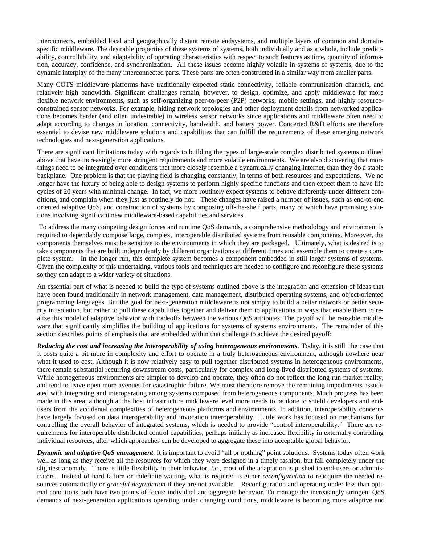interconnects, embedded local and geographically distant remote endsystems, and multiple layers of common and domainspecific middleware. The desirable properties of these systems of systems, both individually and as a whole, include predictability, controllability, and adaptability of operating characteristics with respect to such features as time, quantity of information, accuracy, confidence, and synchronization. All these issues become highly volatile in systems of systems, due to the dynamic interplay of the many interconnected parts. These parts are often constructed in a similar way from smaller parts.

Many COTS middleware platforms have traditionally expected static connectivity, reliable communication channels, and relatively high bandwidth. Significant challenges remain, however, to design, optimize, and apply middleware for more flexible network environments, such as self-organizing peer-to-peer (P2P) networks, mobile settings, and highly resourceconstrained sensor networks. For example, hiding network topologies and other deployment details from networked applications becomes harder (and often undesirable) in wireless sensor networks since applications and middleware often need to adapt according to changes in location, connectivity, bandwidth, and battery power. Concerted R&D efforts are therefore essential to devise new middleware solutions and capabilities that can fulfill the requirements of these emerging network technologies and next-generation applications.

There are significant limitations today with regards to building the types of large-scale complex distributed systems outlined above that have increasingly more stringent requirements and more volatile environments. We are also discovering that more things need to be integrated over conditions that more closely resemble a dynamically changing Internet, than they do a stable backplane. One problem is that the playing field is changing constantly, in terms of both resources and expectations. We no longer have the luxury of being able to design systems to perform highly specific functions and then expect them to have life cycles of 20 years with minimal change. In fact, we more routinely expect systems to behave differently under different conditions, and complain when they just as routinely do not. These changes have raised a number of issues, such as end-to-end oriented adaptive QoS, and construction of systems by composing off-the-shelf parts, many of which have promising solutions involving significant new middleware-based capabilities and services.

 To address the many competing design forces and runtime QoS demands, a comprehensive methodology and environment is required to dependably compose large, complex, interoperable distributed systems from reusable components. Moreover, the components themselves must be sensitive to the environments in which they are packaged. Ultimately, what is desired is to take components that are built independently by different organizations at different times and assemble them to create a complete system. In the longer run, this complete system becomes a component embedded in still larger systems of systems. Given the complexity of this undertaking, various tools and techniques are needed to configure and reconfigure these systems so they can adapt to a wider variety of situations.

An essential part of what is needed to build the type of systems outlined above is the integration and extension of ideas that have been found traditionally in network management, data management, distributed operating systems, and object-oriented programming languages. But the goal for next-generation middleware is not simply to build a better network or better security in isolation, but rather to pull these capabilities together and deliver them to applications in ways that enable them to realize this model of adaptive behavior with tradeoffs between the various QoS attributes. The payoff will be reusable middleware that significantly simplifies the building of applications for systems of systems environments. The remainder of this section describes points of emphasis that are embedded within that challenge to achieve the desired payoff:

*Reducing the cost and increasing the interoperability of using heterogeneous environments*. Today, it is still the case that it costs quite a bit more in complexity and effort to operate in a truly heterogeneous environment, although nowhere near what it used to cost. Although it is now relatively easy to pull together distributed systems in heterogeneous environments, there remain substantial recurring downstream costs, particularly for complex and long-lived distributed systems of systems. While homogeneous environments are simpler to develop and operate, they often do not reflect the long run market reality, and tend to leave open more avenues for catastrophic failure. We must therefore remove the remaining impediments associated with integrating and interoperating among systems composed from heterogeneous components. Much progress has been made in this area, although at the host infrastructure middleware level more needs to be done to shield developers and endusers from the accidental complexities of heterogeneous platforms and environments. In addition, interoperability concerns have largely focused on data interoperability and invocation interoperability. Little work has focused on mechanisms for controlling the overall behavior of integrated systems, which is needed to provide "control interoperability." There are requirements for interoperable distributed control capabilities, perhaps initially as increased flexibility in externally controlling individual resources, after which approaches can be developed to aggregate these into acceptable global behavior.

*Dynamic and adaptive QoS management*. It is important to avoid "all or nothing" point solutions. Systems today often work well as long as they receive all the resources for which they were designed in a timely fashion, but fail completely under the slightest anomaly. There is little flexibility in their behavior, *i.e.,* most of the adaptation is pushed to end-users or administrators. Instead of hard failure or indefinite waiting, what is required is either *reconfiguration* to reacquire the needed resources automatically or *graceful degradation* if they are not available. Reconfiguration and operating under less than optimal conditions both have two points of focus: individual and aggregate behavior. To manage the increasingly stringent QoS demands of next-generation applications operating under changing conditions, middleware is becoming more adaptive and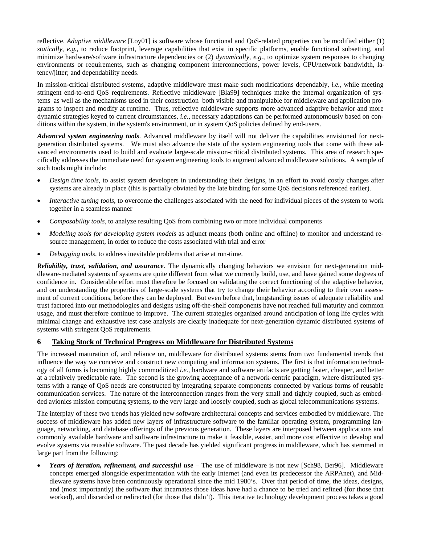reflective. *Adaptive middleware* [Loy01] is software whose functional and QoS-related properties can be modified either (1) *statically*, *e.g.,* to reduce footprint, leverage capabilities that exist in specific platforms, enable functional subsetting, and minimize hardware/software infrastructure dependencies or (2) *dynamically*, *e.g.,* to optimize system responses to changing environments or requirements, such as changing component interconnections, power levels, CPU/network bandwidth, latency/jitter; and dependability needs.

In mission-critical distributed systems, adaptive middleware must make such modifications dependably, *i.e.,* while meeting stringent end-to-end QoS requirements. Reflective middleware [Bla99] techniques make the internal organization of systems–as well as the mechanisms used in their construction–both visible and manipulable for middleware and application programs to inspect and modify at runtime. Thus, reflective middleware supports more advanced adaptive behavior and more dynamic strategies keyed to current circumstances, *i.e.,* necessary adaptations can be performed autonomously based on conditions within the system, in the system's environment, or in system QoS policies defined by end-users.

*Advanced system engineering tools*. Advanced middleware by itself will not deliver the capabilities envisioned for nextgeneration distributed systems. We must also advance the state of the system engineering tools that come with these advanced environments used to build and evaluate large-scale mission-critical distributed systems. This area of research specifically addresses the immediate need for system engineering tools to augment advanced middleware solutions. A sample of such tools might include:

- *Design time tools*, to assist system developers in understanding their designs, in an effort to avoid costly changes after systems are already in place (this is partially obviated by the late binding for some QoS decisions referenced earlier).
- *Interactive tuning tools*, to overcome the challenges associated with the need for individual pieces of the system to work together in a seamless manner
- *Composability tools*, to analyze resulting QoS from combining two or more individual components
- *Modeling tools for developing system models* as adjunct means (both online and offline) to monitor and understand resource management, in order to reduce the costs associated with trial and error
- *Debugging tools*, to address inevitable problems that arise at run-time.

*Reliability, trust, validation, and assurance*. The dynamically changing behaviors we envision for next-generation middleware-mediated systems of systems are quite different from what we currently build, use, and have gained some degrees of confidence in. Considerable effort must therefore be focused on validating the correct functioning of the adaptive behavior, and on understanding the properties of large-scale systems that try to change their behavior according to their own assessment of current conditions, before they can be deployed. But even before that, longstanding issues of adequate reliability and trust factored into our methodologies and designs using off-the-shelf components have not reached full maturity and common usage, and must therefore continue to improve. The current strategies organized around anticipation of long life cycles with minimal change and exhaustive test case analysis are clearly inadequate for next-generation dynamic distributed systems of systems with stringent QoS requirements.

#### **6 Taking Stock of Technical Progress on Middleware for Distributed Systems**

The increased maturation of, and reliance on, middleware for distributed systems stems from two fundamental trends that influence the way we conceive and construct new computing and information systems. The first is that information technology of all forms is becoming highly commoditized *i.e.,* hardware and software artifacts are getting faster, cheaper, and better at a relatively predictable rate. The second is the growing acceptance of a network-centric paradigm, where distributed systems with a range of QoS needs are constructed by integrating separate components connected by various forms of reusable communication services. The nature of the interconnection ranges from the very small and tightly coupled, such as embedded avionics mission computing systems, to the very large and loosely coupled, such as global telecommunications systems.

The interplay of these two trends has yielded new software architectural concepts and services embodied by middleware. The success of middleware has added new layers of infrastructure software to the familiar operating system, programming language, networking, and database offerings of the previous generation. These layers are interposed between applications and commonly available hardware and software infrastructure to make it feasible, easier, and more cost effective to develop and evolve systems via reusable software. The past decade has yielded significant progress in middleware, which has stemmed in large part from the following:

• *Years of iteration, refinement, and successful use* – The use of middleware is not new [Sch98, Ber96]. Middleware concepts emerged alongside experimentation with the early Internet (and even its predecessor the ARPAnet), and Middleware systems have been continuously operational since the mid 1980's. Over that period of time, the ideas, designs, and (most importantly) the software that incarnates those ideas have had a chance to be tried and refined (for those that worked), and discarded or redirected (for those that didn't). This iterative technology development process takes a good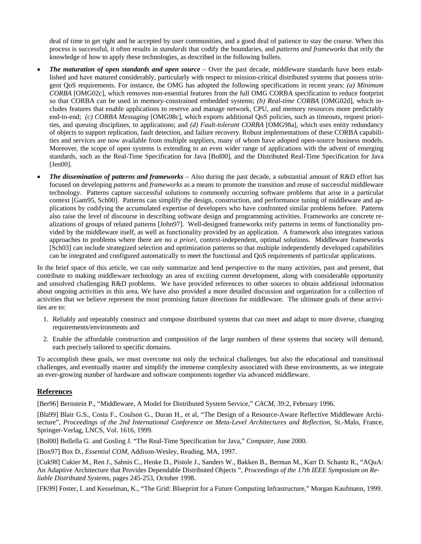deal of time to get right and be accepted by user communities, and a good deal of patience to stay the course. When this process is successful, it often results in *standards* that codify the boundaries, and *patterns and frameworks* that reify the knowledge of how to apply these technologies, as described in the following bullets.

- *The maturation of open standards and open source* Over the past decade, middleware standards have been established and have matured considerably, particularly with respect to mission-critical distributed systems that possess stringent QoS requirements. For instance, the OMG has adopted the following specifications in recent years: *(a) Minimum CORBA* [OMG02c], which removes non-essential features from the full OMG CORBA specification to reduce footprint so that CORBA can be used in memory-constrained embedded systems; *(b) Real-time CORBA* [OMG02d], which includes features that enable applications to reserve and manage network, CPU, and memory resources more predictably end-to-end; *(c) CORBA Messaging* [OMG98c], which exports additional QoS policies, such as timeouts, request priorities, and queuing disciplines, to applications; and *(d) Fault-tolerant CORBA* [OMG98a], which uses entity redundancy of objects to support replication, fault detection, and failure recovery. Robust implementations of these CORBA capabilities and services are now available from multiple suppliers, many of whom have adopted open-source business models. Moreover, the scope of open systems is extending to an even wider range of applications with the advent of emerging standards, such as the Real-Time Specification for Java [Bol00], and the Distributed Real-Time Specification for Java [Jen00].
- *The dissemination of patterns and frameworks* Also during the past decade, a substantial amount of R&D effort has focused on developing *patterns* and *frameworks* as a means to promote the transition and reuse of successful middleware technology. Patterns capture successful solutions to commonly occurring software problems that arise in a particular context [Gam95, Sch00]. Patterns can simplify the design, construction, and performance tuning of middleware and applications by codifying the accumulated expertise of developers who have confronted similar problems before. Patterns also raise the level of discourse in describing software design and programming activities. Frameworks are concrete realizations of groups of related patterns [John97]. Well-designed frameworks reify patterns in terms of functionality provided by the middleware itself, as well as functionality provided by an application. A framework also integrates various approaches to problems where there are no *a priori*, context-independent, optimal solutions. Middleware frameworks [Sch03] can include strategized selection and optimization patterns so that multiple independently developed capabilities can be integrated and configured automatically to meet the functional and QoS requirements of particular applications.

In the brief space of this article, we can only summarize and lend perspective to the many activities, past and present, that contribute to making middleware technology an area of exciting current development, along with considerable opportunity and unsolved challenging R&D problems. We have provided references to other sources to obtain additional information about ongoing activities in this area. We have also provided a more detailed discussion and organization for a collection of activities that we believe represent the most promising future directions for middleware. The ultimate goals of these activities are to:

- 1. Reliably and repeatably construct and compose distributed systems that can meet and adapt to more diverse, changing requirements/environments and
- 2. Enable the affordable construction and composition of the large numbers of these systems that society will demand, each precisely tailored to specific domains.

To accomplish these goals, we must overcome not only the technical challenges, but also the educational and transitional challenges, and eventually master and simplify the immense complexity associated with these environments, as we integrate an ever-growing number of hardware and software components together via advanced middleware.

#### **References**

[Ber96] Bernstein P., "Middleware, A Model for Distributed System Service," *CACM*, 39:2, February 1996.

[Bla99] Blair G.S., Costa F., Coulson G., Duran H., et al, "The Design of a Resource-Aware Reflective Middleware Architecture", *Proceedings of the 2nd International Conference on Meta-Level Architectures and Reflection*, St.-Malo, France, Springer-Verlag, LNCS, Vol. 1616, 1999.

[Bol00] Bollella G. and Gosling J. "The Real-Time Specification for Java," *Computer*, June 2000.

[Box97] Box D., *Essential COM*, Addison-Wesley, Reading, MA, 1997.

[Cuk98] Cukier M., Ren J., Sabnis C., Henke D., Pistole J., Sanders W., Bakken B., Berman M., Karr D. Schantz R., "AQuA: An Adaptive Architecture that Provides Dependable Distributed Objects ", *Proceedings of the 17th IEEE Symposium on Reliable Distributed Systems*, pages 245-253, October 1998.

[FK99] Foster, I. and Kesselman, K., "The Grid: Blueprint for a Future Computing Infrastructure," Morgan Kaufmann, 1999.